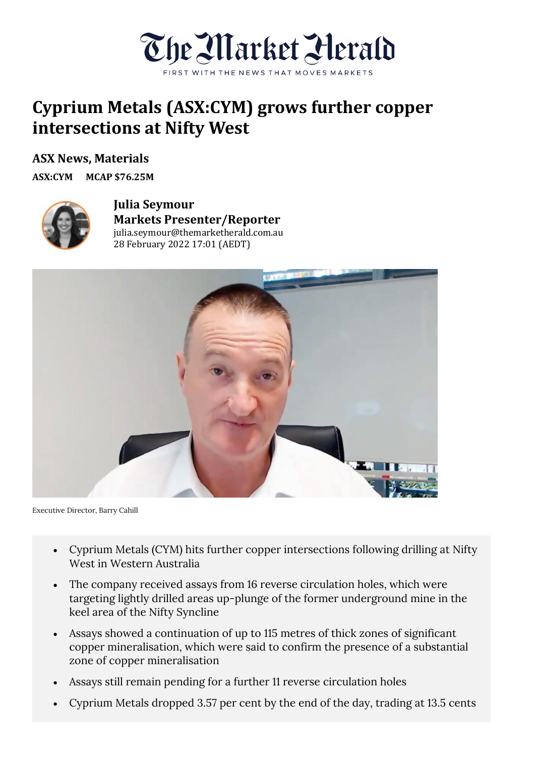

## **Cyprium Metals (ASX:CYM) grows further copper intersections at Nifty West**

**ASX News, Materials**

**ASX:CYM MCAP \$76.25M**



**Julia Seymour Markets Presenter/Reporter** julia.seymour@themarketherald.com.au 28 February 2022 17:01 (AEDT)



Executive Director, Barry Cahill

- Cyprium Metals (CYM) hits further copper intersections following drilling at Nifty West in Western Australia
- The company received assays from 16 reverse circulation holes, which were targeting lightly drilled areas up-plunge of the former underground mine in the keel area of the Nifty Syncline
- Assays showed a continuation of up to 115 metres of thick zones of significant copper mineralisation, which were said to confirm the presence of a substantial zone of copper mineralisation
- Assays still remain pending for a further 11 reverse circulation holes
- Cyprium Metals dropped 3.57 per cent by the end of the day, trading at 13.5 cents